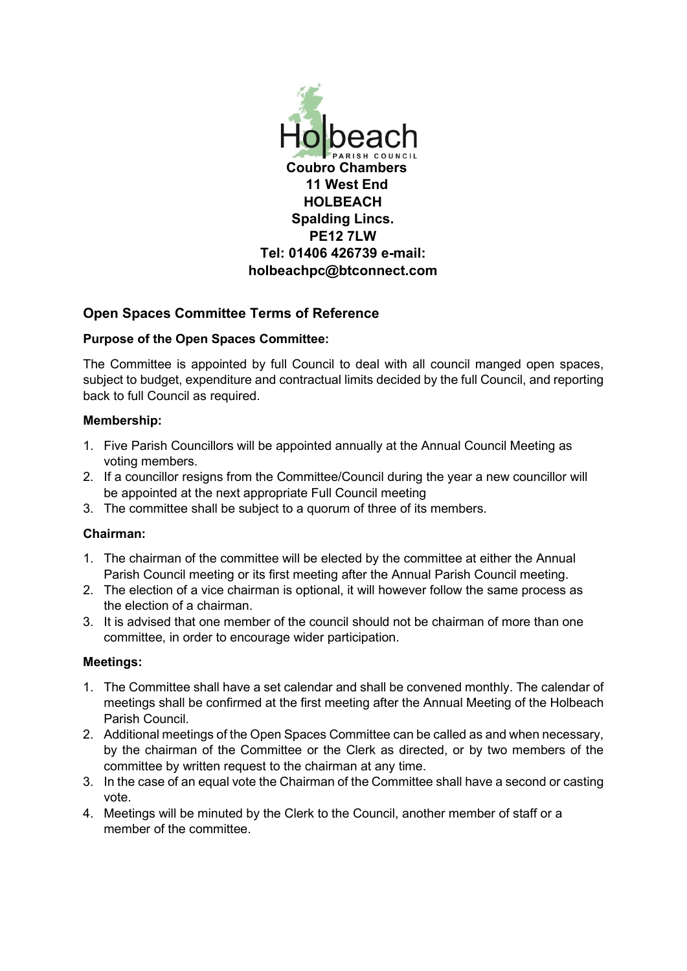

# **Open Spaces Committee Terms of Reference**

### **Purpose of the Open Spaces Committee:**

The Committee is appointed by full Council to deal with all council manged open spaces, subject to budget, expenditure and contractual limits decided by the full Council, and reporting back to full Council as required.

### **Membership:**

- 1. Five Parish Councillors will be appointed annually at the Annual Council Meeting as voting members.
- 2. If a councillor resigns from the Committee/Council during the year a new councillor will be appointed at the next appropriate Full Council meeting
- 3. The committee shall be subject to a quorum of three of its members.

## **Chairman:**

- 1. The chairman of the committee will be elected by the committee at either the Annual Parish Council meeting or its first meeting after the Annual Parish Council meeting.
- 2. The election of a vice chairman is optional, it will however follow the same process as the election of a chairman.
- 3. It is advised that one member of the council should not be chairman of more than one committee, in order to encourage wider participation.

### **Meetings:**

- 1. The Committee shall have a set calendar and shall be convened monthly. The calendar of meetings shall be confirmed at the first meeting after the Annual Meeting of the Holbeach Parish Council.
- 2. Additional meetings of the Open Spaces Committee can be called as and when necessary, by the chairman of the Committee or the Clerk as directed, or by two members of the committee by written request to the chairman at any time.
- 3. In the case of an equal vote the Chairman of the Committee shall have a second or casting vote.
- 4. Meetings will be minuted by the Clerk to the Council, another member of staff or a member of the committee.